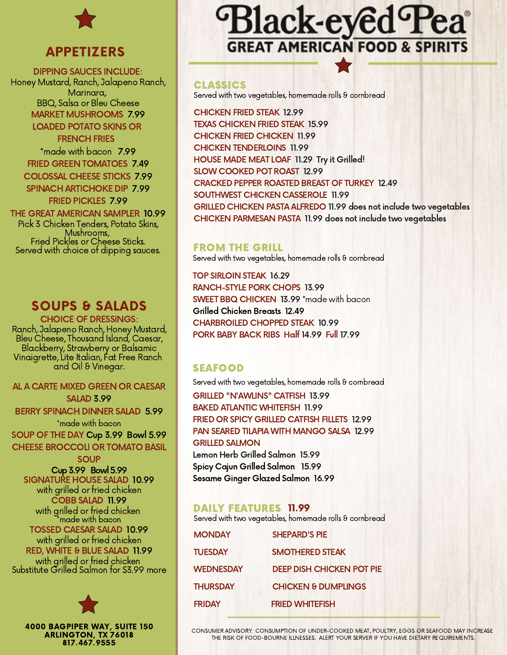

## APPETIZERS

DIPPING SAUCES INCLUDE: Honey Mustard, Ranch, Jalapeno Ranch, Marinara, BBQ, Salsa or Bleu Cheese MARKET MUSHROOMS 7.99 LOADED POTATO SKINS OR FRENCH FRIES \*made with bacon 7.99

FRIED GREEN TOMATOES 7.49 COLOSSAL CHEESE STICKS 7.99 SPINACH ARTICHOKE DIP 7.99

FRIED PICKLES 7.99 THE GREAT AMERICAN SAMPLER 10.99 Pick 3 Chicken Tenders, Potato Skins, Mushrooms, Fried Pickles or Cheese Sticks. Served with choice of dipping sauces.

# SOUPS & SALADS

CHOICE OF DRESSINGS: Ranch, Jalapeno Ranch, Honey Mustard, Bleu Cheese, Thousand Island, Caesar, Blackberry, Strawberry or Balsamic Vinaigrette, Lite Italian, Fat Free Ranch and Oil & Vinegar.

#### AL A CARTE MIXED GREEN OR CAESAR SALAD 3.99

BERRY SPINACH DINNER SALAD 5.99

\*made with bacon SOUP OF THE DAY Cup 3.99 Bowl 5.99 CHEESE BROCCOLI OR TOMATO BASIL

**SOUP** Cup3.99 Bowl5.99 SIGNATURE HOUSE SALAD 10.99 with grilled or fried chicken COBB SALAD 11.99 with grilled or fried chicken \*made with bacon TOSSED CAESAR SALAD 10.99 with grilled or fried chicken RED, WHITE & BLUE SALAD 11.99 with grilled or fried chicken Substitute Grilled Salmon for \$3.99 more



4000 BAGPIPER WAY, SUITE 150 ARLINGTON, TX 76018 817.467.9555

# Black-eyed Pea **GREAT AMERICAN FOOD & SPIRITS**

#### CLASSICS

Served with two vegetables, homemade rolls & cornbread

CHICKEN FRIED STEAK 12.99 TEXAS CHICKEN FRIED STEAK 15.99 CHICKEN FRIED CHICKEN 11.99 CHICKEN TENDERLOINS 11.99 HOUSE MADE MEAT LOAF 11.29 Try it Grilled! SLOW COOKED POT ROAST 12.99 CRACKED PEPPER ROASTED BREAST OF TURKEY 12.49 SOUTHWEST CHICKEN CASSEROLE 11.99 GRILLED CHICKEN PASTA ALFREDO 11.99 does not include two vegetables CHICKEN PARMESAN PASTA 11.99 does not include two vegetables

## FROM THE GRILL

Served with two vegetables, homemade rolls & cornbread

TOP SIRLOIN STEAK 16.29 RANCH-STYLE PORK CHOPS 13.99 SWEET BBQ CHICKEN 13.99 \*made with bacon Grilled Chicken Breasts 12.49 CHARBROILED CHOPPED STEAK 10.99 PORK BABY BACK RIBS Half 14.99 Full 17.99

## SEAFOOD

Served with two vegetables, homemade rolls & cornbread

GRILLED "N'AWLINS" CATFISH 13.99 BAKED ATLANTIC WHITEFISH 11.99 FRIED OR SPICY GRILLED CATFISH FILLETS 12.99 PAN SEARED TILAPIA WITH MANGO SALSA 12.99 GRILLED SALMON Lemon Herb Grilled Salmon 15.99 Spicy Cajun Grilled Salmon 15.99

Sesame Ginger Glazed Salmon 16.99

## DAILY FEATURES 11.99

Served with two vegetables, homemade rolls & cornbread

| <b>MONDAY</b>    | <b>SHEPARD'S PIE</b>             |  |
|------------------|----------------------------------|--|
| <b>TUESDAY</b>   | <b>SMOTHERED STEAK</b>           |  |
| <b>WEDNESDAY</b> | <b>DEEP DISH CHICKEN POT PIE</b> |  |
| <b>THURSDAY</b>  | <b>CHICKEN &amp; DUMPLINGS</b>   |  |
| <b>FRIDAY</b>    | <b>FRIED WHITEFISH</b>           |  |
|                  |                                  |  |

CONSUMER ADVISORY: CONSUMPTION OF UNDER-COOKED MEAT, POULTRY, EGGS OR SEAFOOD MAY INCREASE THE RISK OF FOOD-BOURNE ILLNESSES. ALERT YOUR SERVER IF YOU HAVE DIETARY REQUIREMENTS.